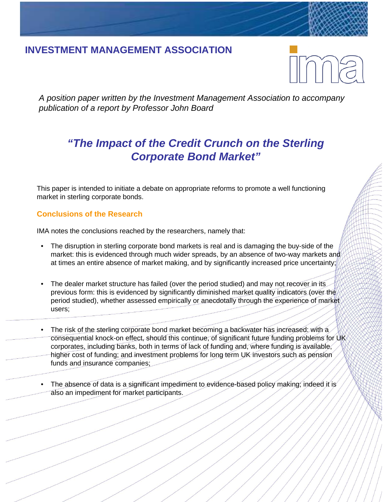# **INVESTMENT MANAGEMENT ASSOCIATION**

*A position paper written by the Investment Management Association to accompany publication of a report by Professor John Board*

# *"The Impact of the Credit Crunch on the Sterling Corporate Bond Market"*

This paper is intended to initiate a debate on appropriate reforms to promote a well functioning market in sterling corporate bonds.

## **Conclusions of the Research**

IMA notes the conclusions reached by the researchers, namely that:

- The disruption in sterling corporate bond markets is real and is damaging the buy-side of the market: this is evidenced through much wider spreads, by an absence of two-way markets and at times an entire absence of market making, and by significantly increased price uncertainty;
- The dealer market structure has failed (over the period studied) and may not recover in its previous form: this is evidenced by significantly diminished market quality indicators (over the period studied), whether assessed empirically or anecdotally through the experience of market users;
- The risk of the sterling corporate bond market becoming a backwater has increased: with a consequential knock-on effect, should this continue, of significant future funding problems for UK corporates, including banks, both in terms of lack of funding and, where funding is available, higher cost of funding; and investment problems for long term UK investors such as pension funds and insurance companies;
- The absence of data is a significant impediment to evidence-based policy making; indeed it is also an impediment for market participants.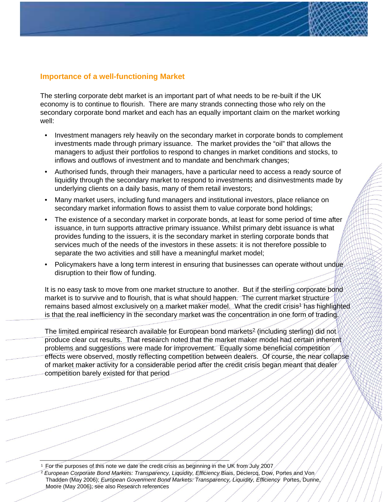### **Importance of a well-functioning Market**

The sterling corporate debt market is an important part of what needs to be re-built if the UK economy is to continue to flourish. There are many strands connecting those who rely on the secondary corporate bond market and each has an equally important claim on the market working well:

- Investment managers rely heavily on the secondary market in corporate bonds to complement investments made through primary issuance. The market provides the "oil" that allows the managers to adjust their portfolios to respond to changes in market conditions and stocks, to inflows and outflows of investment and to mandate and benchmark changes;
- Authorised funds, through their managers, have a particular need to access a ready source of liquidity through the secondary market to respond to investments and disinvestments made by underlying clients on a daily basis, many of them retail investors;
- Many market users, including fund managers and institutional investors, place reliance on secondary market information flows to assist them to value corporate bond holdings;
- The existence of a secondary market in corporate bonds, at least for some period of time after issuance, in turn supports attractive primary issuance. Whilst primary debt issuance is what provides funding to the issuers, it is the secondary market in sterling corporate bonds that services much of the needs of the investors in these assets: it is not therefore possible to separate the two activities and still have a meaningful market model;
- Policymakers have a long term interest in ensuring that businesses can operate without undue disruption to their flow of funding.

It is no easy task to move from one market structure to another. But if the sterling corporate bond market is to survive and to flourish, that is what should happen. The current market structure remains based almost exclusively on a market maker model. What the credit crisis<sup>1</sup> has highlighted is that the real inefficiency in the secondary market was the concentration in one form of trading.

The limited empirical research available for European bond markets<sup>2</sup> (including sterling) did not produce clear cut results. That research noted that the market maker model had certain inherent problems and suggestions were made for improvement. Equally some beneficial competition effects were observed, mostly reflecting competition between dealers. Of course, the near collapse of market maker activity for a considerable period after the credit crisis began meant that dealer competition barely existed for that period

1 For the purposes of this note we date the credit crisis as beginning in the UK from July 2007

 $^2$  *European Corporate Bond Markets: Transparency, Liquidity, Efficiency* Biais, Declercq, Dow, Portes and Von/ Thadden (May 2006); *European Govenment Bond Markets: Transparency, Liquidity, Efficiency* Portes, Dunne, Moore (May 2006); see also Research references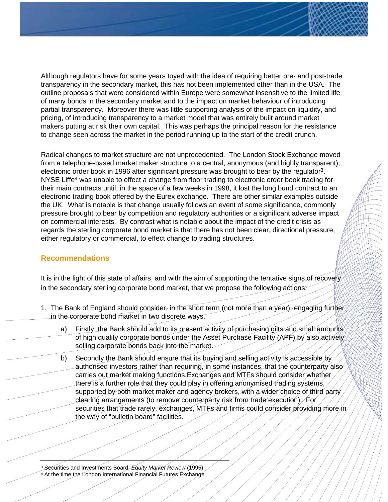Although regulators have for some years toyed with the idea of requiring better pre- and post-trade transparency in the secondary market, this has not been implemented other than in the USA. The outline proposals that were considered within Europe were somewhat insensitive to the limited life of many bonds in the secondary market and to the impact on market behaviour of introducing partial transparency. Moreover there was little supporting analysis of the impact on liquidity, and pricing, of introducing transparency to a market model that was entirely built around market makers putting at risk their own capital. This was perhaps the principal reason for the resistance to change seen across the market in the period running up to the start of the credit crunch.

Radical changes to market structure are not unprecedented. The London Stock Exchange moved from a telephone-based market maker structure to a central, anonymous (and highly transparent), electronic order book in 1996 after significant pressure was brought to bear by the regulator<sup>3</sup>. NYSE Liffe<sup>4</sup> was unable to effect a change from floor trading to electronic order book trading for their main contracts until, in the space of a few weeks in 1998, it lost the long bund contract to an electronic trading book offered by the Eurex exchange. There are other similar examples outside the UK. What is notable is that change usually follows an event of some significance, commonly pressure brought to bear by competition and regulatory authorities or a significant adverse impact on commercial interests. By contrast what is notable about the impact of the credit crisis as regards the sterling corporate bond market is that there has not been clear, directional pressure, either regulatory or commercial, to effect change to trading structures.

#### **Recommendations**

It is in the light of this state of affairs, and with the aim of supporting the tentative signs of recovery in the secondary sterling corporate bond market, that we propose the following actions:

- 1. The Bank of England should consider, in the short term (not more than a year), engaging further in the corporate bond market in two discrete ways.
	- a) Firstly, the Bank should add to its present activity of purchasing gilts and small amounts of high quality corporate bonds under the Asset Purchase Facility (APF) by also actively selling corporate bonds back into the market.
	- b) Secondly the Bank should ensure that its buying and selling activity is accessible by authorised investors rather than requiring, in some instances, that the counterparty also carries out market making functions.Exchanges and MTFs should consider whether there is a further role that they could play in offering anonymised trading systems, supported by both market maker and agency brokers, with a wider choice of third party clearing arrangements (to remove counterparty risk from trade execution). For securities that trade rarely, exchanges, MTFs and firms could consider providing more in the way of "bulletin board" facilities.

<sup>3</sup> Securities and Investments Board: *Equity Market Review* (1995) <sup>4</sup> At the time the London International Financial Futures Exchange